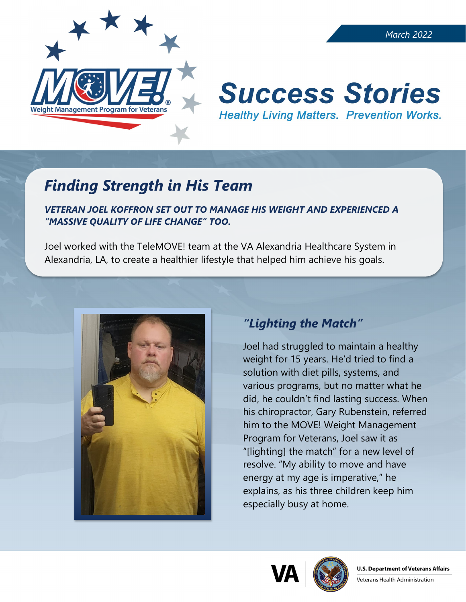

# **Success Stories Healthy Living Matters. Prevention Works.**

# *Finding Strength in His Team*

*VETERAN JOEL KOFFRON SET OUT TO MANAGE HIS WEIGHT AND EXPERIENCED A "MASSIVE QUALITY OF LIFE CHANGE" TOO.* 

Joel worked with the TeleMOVE! team at the VA Alexandria Healthcare System in Alexandria, LA, to create a healthier lifestyle that helped him achieve his goals.



## *"Lighting the Match"*

Joel had struggled to maintain a healthy weight for 15 years. He'd tried to find a solution with diet pills, systems, and various programs, but no matter what he did, he couldn't find lasting success. When his chiropractor, Gary Rubenstein, referred him to the MOVE! Weight Management Program for Veterans, Joel saw it as "[lighting] the match" for a new level of resolve. "My ability to move and have energy at my age is imperative," he explains, as his three children keep him especially busy at home.





Veterans Health Administration